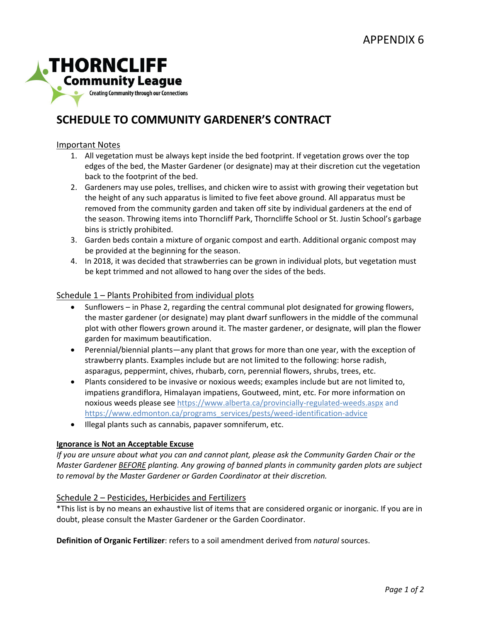

# **SCHEDULE TO COMMUNITY GARDENER'S CONTRACT**

#### Important Notes

- 1. All vegetation must be always kept inside the bed footprint. If vegetation grows over the top edges of the bed, the Master Gardener (or designate) may at their discretion cut the vegetation back to the footprint of the bed.
- 2. Gardeners may use poles, trellises, and chicken wire to assist with growing their vegetation but the height of any such apparatus is limited to five feet above ground. All apparatus must be removed from the community garden and taken off site by individual gardeners at the end of the season. Throwing items into Thorncliff Park, Thorncliffe School or St. Justin School's garbage bins is strictly prohibited.
- 3. Garden beds contain a mixture of organic compost and earth. Additional organic compost may be provided at the beginning for the season.
- 4. In 2018, it was decided that strawberries can be grown in individual plots, but vegetation must be kept trimmed and not allowed to hang over the sides of the beds.

### Schedule 1 – Plants Prohibited from individual plots

- Sunflowers in Phase 2, regarding the central communal plot designated for growing flowers, the master gardener (or designate) may plant dwarf sunflowers in the middle of the communal plot with other flowers grown around it. The master gardener, or designate, will plan the flower garden for maximum beautification.
- Perennial/biennial plants—any plant that grows for more than one year, with the exception of strawberry plants. Examples include but are not limited to the following: horse radish, asparagus, peppermint, chives, rhubarb, corn, perennial flowers, shrubs, trees, etc.
- Plants considered to be invasive or noxious weeds; examples include but are not limited to, impatiens grandiflora, Himalayan impatiens, Goutweed, mint, etc. For more information on noxious weeds please se[e https://www.alberta.ca/provincially-regulated-weeds.aspx](https://www.alberta.ca/provincially-regulated-weeds.aspx) and [https://www.edmonton.ca/programs\\_services/pests/weed-identification-advice](https://www.edmonton.ca/programs_services/pests/weed-identification-advice)
- Illegal plants such as cannabis, papaver somniferum, etc.

#### **Ignorance is Not an Acceptable Excuse**

*If you are unsure about what you can and cannot plant, please ask the Community Garden Chair or the Master Gardener BEFORE planting. Any growing of banned plants in community garden plots are subject to removal by the Master Gardener or Garden Coordinator at their discretion.*

#### Schedule 2 – Pesticides, Herbicides and Fertilizers

\*This list is by no means an exhaustive list of items that are considered organic or inorganic. If you are in doubt, please consult the Master Gardener or the Garden Coordinator.

**Definition of Organic Fertilizer**: refers to a soil amendment derived from *natural* sources.